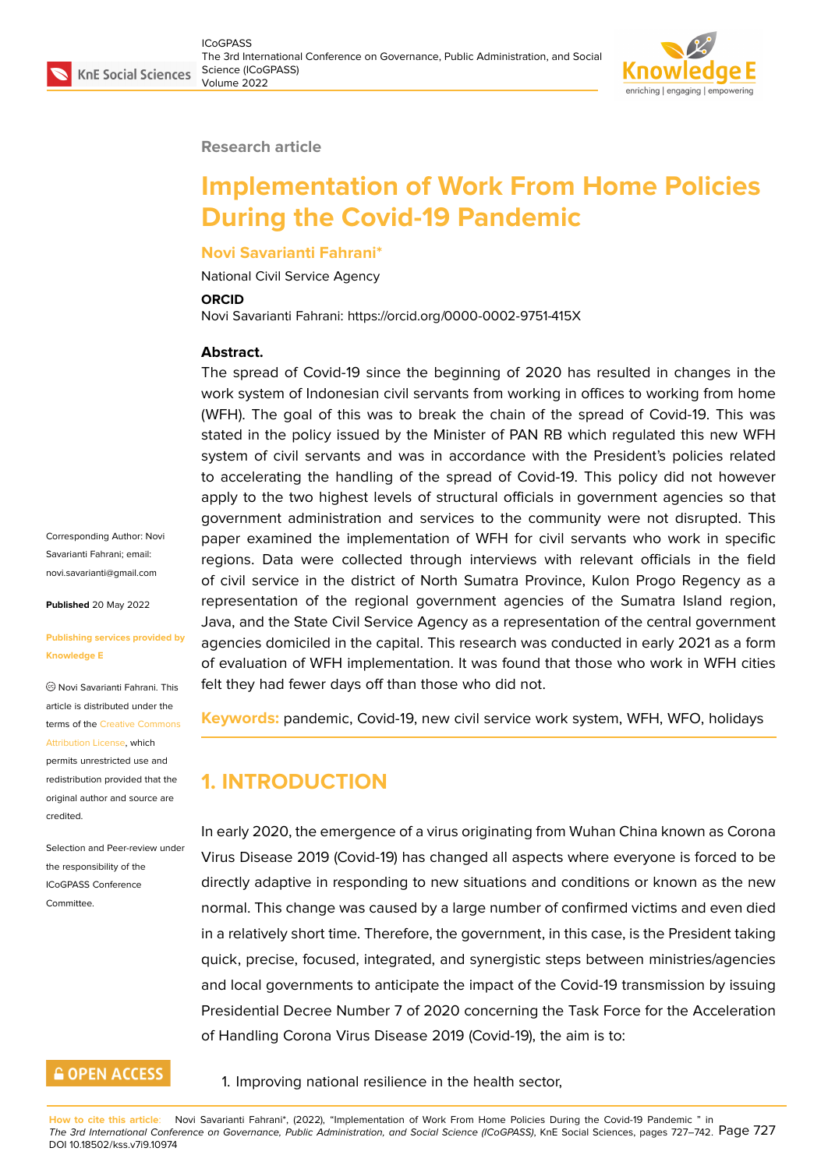#### **Research article**

# **Implementation of Work From Home Policies During the Covid-19 Pandemic**

#### **Novi Savarianti Fahrani\***

National Civil Service Agency

#### **ORCID**

Novi Savarianti Fahrani: https://orcid.org/0000-0002-9751-415X

#### **Abstract.**

The spread of Covid-19 since the beginning of 2020 has resulted in changes in the work system of Indonesian civil servants from working in offices to working from home (WFH). The goal of this was to break the chain of the spread of Covid-19. This was stated in the policy issued by the Minister of PAN RB which regulated this new WFH system of civil servants and was in accordance with the President's policies related to accelerating the handling of the spread of Covid-19. This policy did not however apply to the two highest levels of structural officials in government agencies so that government administration and services to the community were not disrupted. This paper examined the implementation of WFH for civil servants who work in specific regions. Data were collected through interviews with relevant officials in the field of civil service in the district of North Sumatra Province, Kulon Progo Regency as a representation of the regional government agencies of the Sumatra Island region, Java, and the State Civil Service Agency as a representation of the central government agencies domiciled in the capital. This research was conducted in early 2021 as a form of evaluation of WFH implementation. It was found that those who work in WFH cities felt they had fewer days off than those who did not.

**Keywords:** pandemic, Covid-19, new civil service work system, WFH, WFO, holidays

### **1. INTRODUCTION**

In early 2020, the emergence of a virus originating from Wuhan China known as Corona Virus Disease 2019 (Covid-19) has changed all aspects where everyone is forced to be directly adaptive in responding to new situations and conditions or known as the new normal. This change was caused by a large number of confirmed victims and even died in a relatively short time. Therefore, the government, in this case, is the President taking quick, precise, focused, integrated, and synergistic steps between ministries/agencies and local governments to anticipate the impact of the Covid-19 transmission by issuing Presidential Decree Number 7 of 2020 concerning the Task Force for the Acceleration of Handling Corona Virus Disease 2019 (Covid-19), the aim is to:

1. Improving national resilience in the health sector,

**How to cite this article**: Novi Savarianti Fahrani\*, (2022), "Implementation of Work From Home Policies During the Covid-19 Pandemic " in The 3rd International Conference on Governance, Public Administration, and Social Science (ICoGPASS), KnE Social Sciences, pages 727–742. Page 727 DOI 10.18502/kss.v7i9.10974

Corresponding Author: Novi Savarianti Fahrani; email: novi.savarianti@gmail.com

**Published** 20 May 2022

#### **[Publishing services provid](mailto:novi.savarianti@gmail.com)ed by Knowledge E**

Novi Savarianti Fahrani. This article is distributed under the terms of the Creative Commons Attribution License, which

permits unrestricted use and redistribution provided that the original auth[or and source are](https://creativecommons.org/licenses/by/4.0/) [credited.](https://creativecommons.org/licenses/by/4.0/)

Selection and Peer-review under the responsibility of the ICoGPASS Conference Committee.

### **GOPEN ACCESS**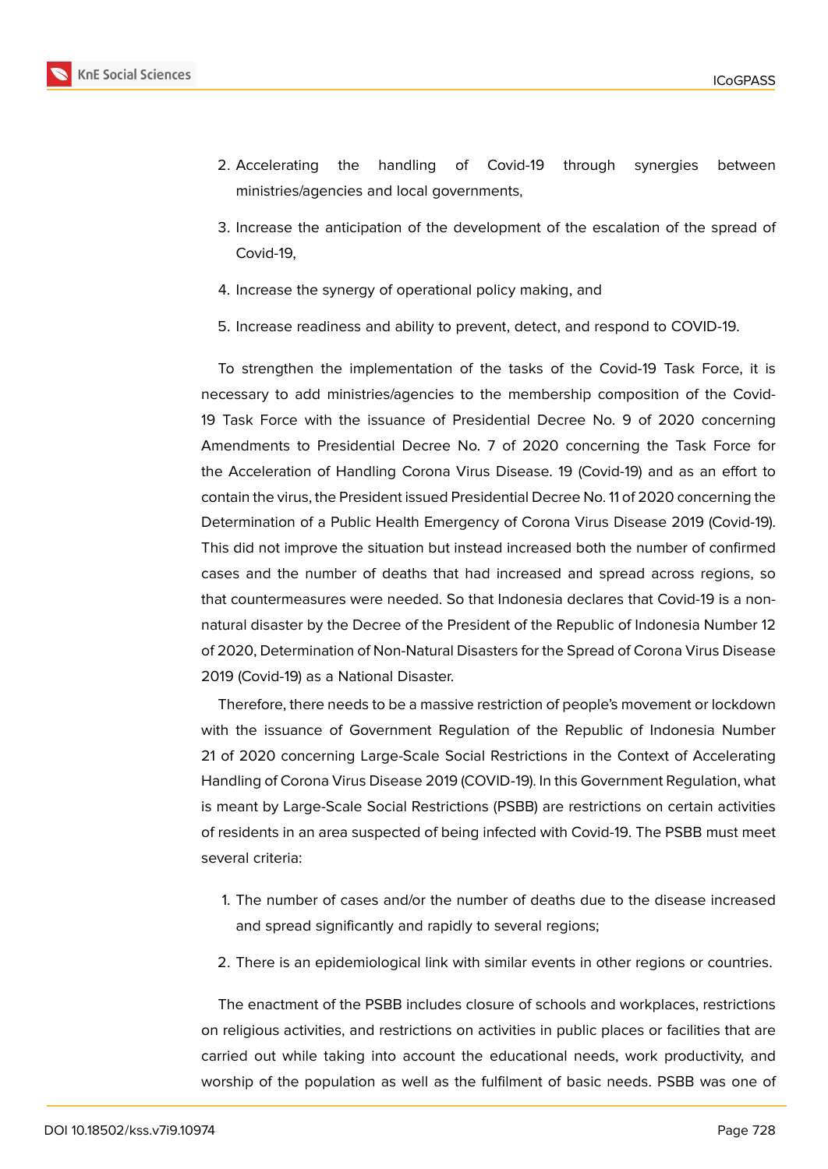

- 2. Accelerating the handling of Covid-19 through synergies between ministries/agencies and local governments,
- 3. Increase the anticipation of the development of the escalation of the spread of Covid-19,
- 4. Increase the synergy of operational policy making, and
- 5. Increase readiness and ability to prevent, detect, and respond to COVID-19.

To strengthen the implementation of the tasks of the Covid-19 Task Force, it is necessary to add ministries/agencies to the membership composition of the Covid-19 Task Force with the issuance of Presidential Decree No. 9 of 2020 concerning Amendments to Presidential Decree No. 7 of 2020 concerning the Task Force for the Acceleration of Handling Corona Virus Disease. 19 (Covid-19) and as an effort to contain the virus, the President issued Presidential Decree No. 11 of 2020 concerning the Determination of a Public Health Emergency of Corona Virus Disease 2019 (Covid-19). This did not improve the situation but instead increased both the number of confirmed cases and the number of deaths that had increased and spread across regions, so that countermeasures were needed. So that Indonesia declares that Covid-19 is a nonnatural disaster by the Decree of the President of the Republic of Indonesia Number 12 of 2020, Determination of Non-Natural Disasters for the Spread of Corona Virus Disease 2019 (Covid-19) as a National Disaster.

Therefore, there needs to be a massive restriction of people's movement or lockdown with the issuance of Government Regulation of the Republic of Indonesia Number 21 of 2020 concerning Large-Scale Social Restrictions in the Context of Accelerating Handling of Corona Virus Disease 2019 (COVID-19). In this Government Regulation, what is meant by Large-Scale Social Restrictions (PSBB) are restrictions on certain activities of residents in an area suspected of being infected with Covid-19. The PSBB must meet several criteria:

- 1. The number of cases and/or the number of deaths due to the disease increased and spread significantly and rapidly to several regions;
- 2. There is an epidemiological link with similar events in other regions or countries.

The enactment of the PSBB includes closure of schools and workplaces, restrictions on religious activities, and restrictions on activities in public places or facilities that are carried out while taking into account the educational needs, work productivity, and worship of the population as well as the fulfilment of basic needs. PSBB was one of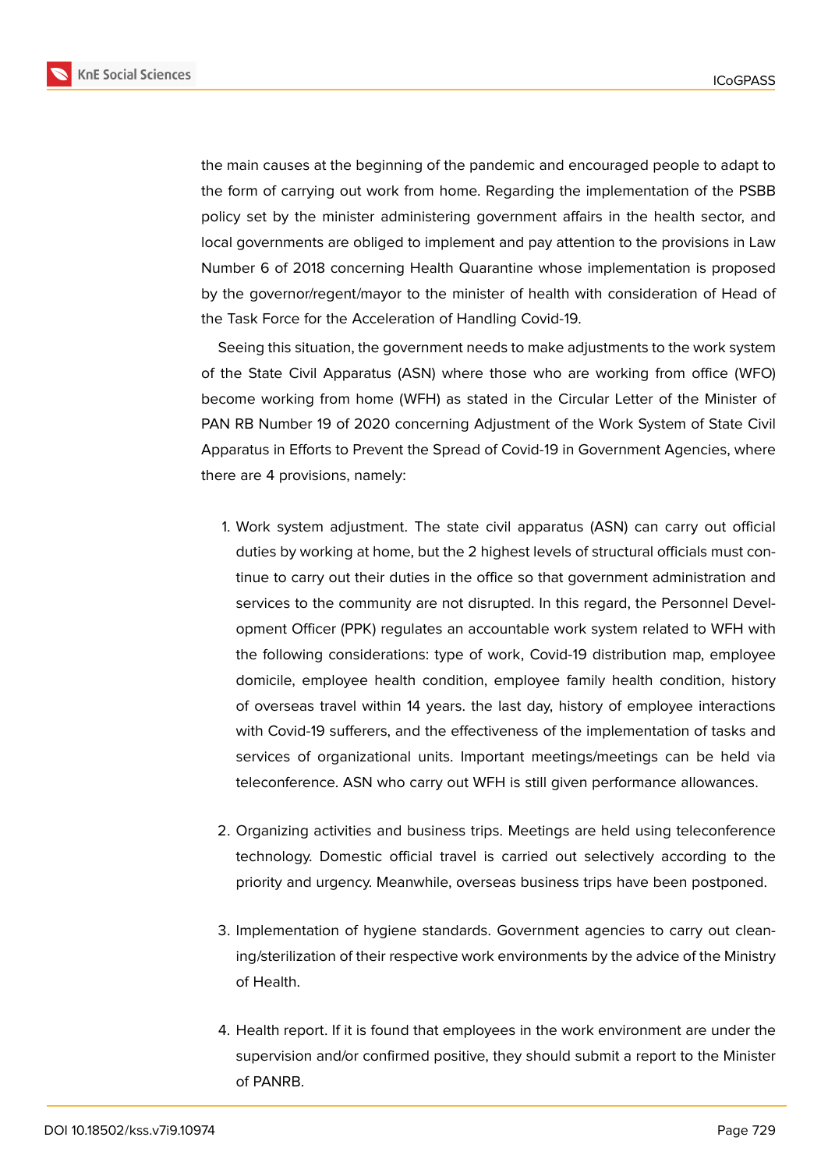

the main causes at the beginning of the pandemic and encouraged people to adapt to the form of carrying out work from home. Regarding the implementation of the PSBB policy set by the minister administering government affairs in the health sector, and local governments are obliged to implement and pay attention to the provisions in Law Number 6 of 2018 concerning Health Quarantine whose implementation is proposed by the governor/regent/mayor to the minister of health with consideration of Head of the Task Force for the Acceleration of Handling Covid-19.

Seeing this situation, the government needs to make adjustments to the work system of the State Civil Apparatus (ASN) where those who are working from office (WFO) become working from home (WFH) as stated in the Circular Letter of the Minister of PAN RB Number 19 of 2020 concerning Adjustment of the Work System of State Civil Apparatus in Efforts to Prevent the Spread of Covid-19 in Government Agencies, where there are 4 provisions, namely:

- 1. Work system adjustment. The state civil apparatus (ASN) can carry out official duties by working at home, but the 2 highest levels of structural officials must continue to carry out their duties in the office so that government administration and services to the community are not disrupted. In this regard, the Personnel Development Officer (PPK) regulates an accountable work system related to WFH with the following considerations: type of work, Covid-19 distribution map, employee domicile, employee health condition, employee family health condition, history of overseas travel within 14 years. the last day, history of employee interactions with Covid-19 sufferers, and the effectiveness of the implementation of tasks and services of organizational units. Important meetings/meetings can be held via teleconference. ASN who carry out WFH is still given performance allowances.
- 2. Organizing activities and business trips. Meetings are held using teleconference technology. Domestic official travel is carried out selectively according to the priority and urgency. Meanwhile, overseas business trips have been postponed.
- 3. Implementation of hygiene standards. Government agencies to carry out cleaning/sterilization of their respective work environments by the advice of the Ministry of Health.
- 4. Health report. If it is found that employees in the work environment are under the supervision and/or confirmed positive, they should submit a report to the Minister of PANRB.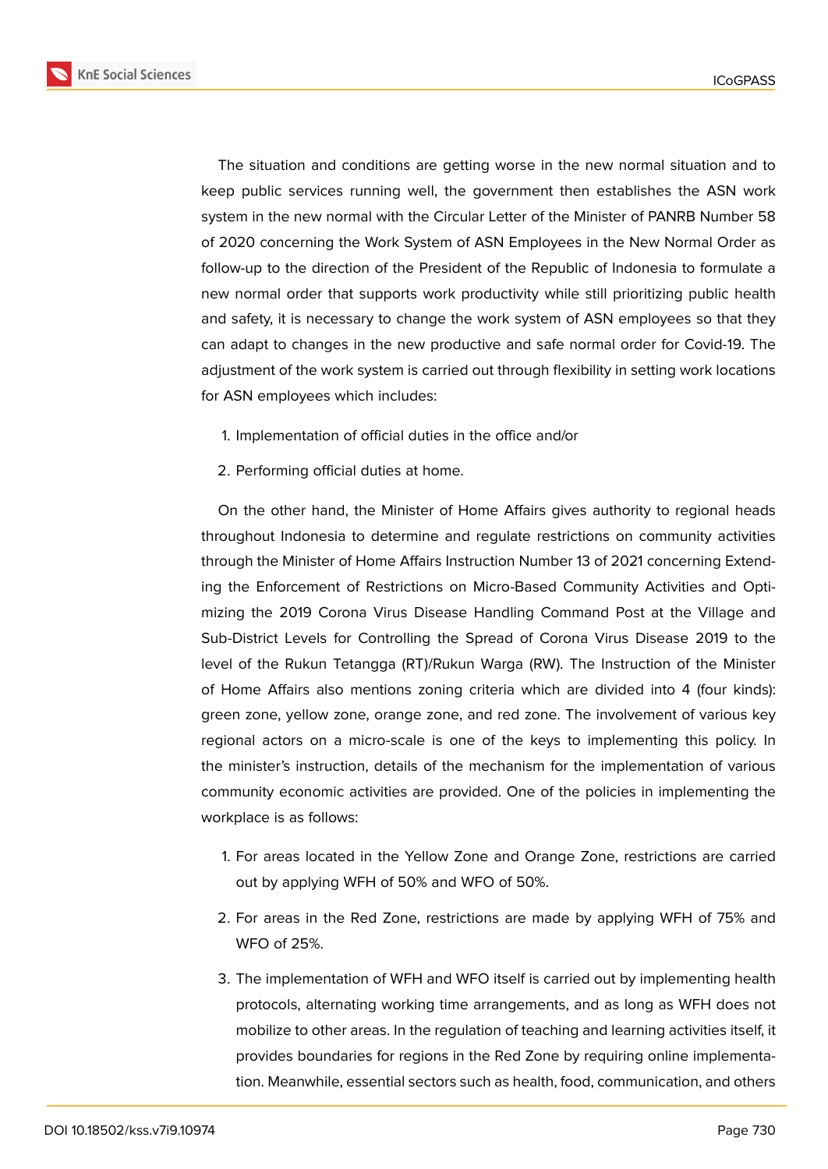

The situation and conditions are getting worse in the new normal situation and to keep public services running well, the government then establishes the ASN work system in the new normal with the Circular Letter of the Minister of PANRB Number 58 of 2020 concerning the Work System of ASN Employees in the New Normal Order as follow-up to the direction of the President of the Republic of Indonesia to formulate a new normal order that supports work productivity while still prioritizing public health and safety, it is necessary to change the work system of ASN employees so that they can adapt to changes in the new productive and safe normal order for Covid-19. The adjustment of the work system is carried out through flexibility in setting work locations for ASN employees which includes:

- 1. Implementation of official duties in the office and/or
- 2. Performing official duties at home.

On the other hand, the Minister of Home Affairs gives authority to regional heads throughout Indonesia to determine and regulate restrictions on community activities through the Minister of Home Affairs Instruction Number 13 of 2021 concerning Extending the Enforcement of Restrictions on Micro-Based Community Activities and Optimizing the 2019 Corona Virus Disease Handling Command Post at the Village and Sub-District Levels for Controlling the Spread of Corona Virus Disease 2019 to the level of the Rukun Tetangga (RT)/Rukun Warga (RW). The Instruction of the Minister of Home Affairs also mentions zoning criteria which are divided into 4 (four kinds): green zone, yellow zone, orange zone, and red zone. The involvement of various key regional actors on a micro-scale is one of the keys to implementing this policy. In the minister's instruction, details of the mechanism for the implementation of various community economic activities are provided. One of the policies in implementing the workplace is as follows:

- 1. For areas located in the Yellow Zone and Orange Zone, restrictions are carried out by applying WFH of 50% and WFO of 50%.
- 2. For areas in the Red Zone, restrictions are made by applying WFH of 75% and WFO of 25%.
- 3. The implementation of WFH and WFO itself is carried out by implementing health protocols, alternating working time arrangements, and as long as WFH does not mobilize to other areas. In the regulation of teaching and learning activities itself, it provides boundaries for regions in the Red Zone by requiring online implementation. Meanwhile, essential sectors such as health, food, communication, and others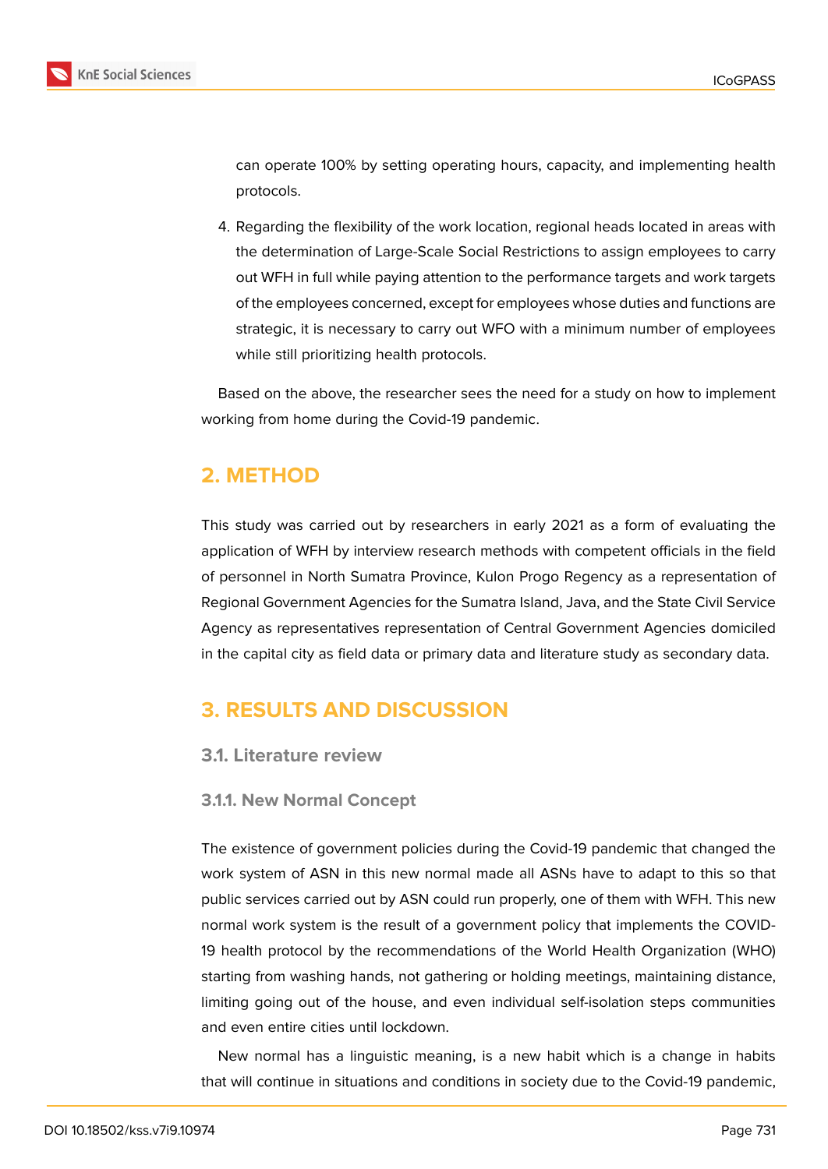

can operate 100% by setting operating hours, capacity, and implementing health protocols.

4. Regarding the flexibility of the work location, regional heads located in areas with the determination of Large-Scale Social Restrictions to assign employees to carry out WFH in full while paying attention to the performance targets and work targets of the employees concerned, except for employees whose duties and functions are strategic, it is necessary to carry out WFO with a minimum number of employees while still prioritizing health protocols.

Based on the above, the researcher sees the need for a study on how to implement working from home during the Covid-19 pandemic.

## **2. METHOD**

This study was carried out by researchers in early 2021 as a form of evaluating the application of WFH by interview research methods with competent officials in the field of personnel in North Sumatra Province, Kulon Progo Regency as a representation of Regional Government Agencies for the Sumatra Island, Java, and the State Civil Service Agency as representatives representation of Central Government Agencies domiciled in the capital city as field data or primary data and literature study as secondary data.

## **3. RESULTS AND DISCUSSION**

### **3.1. Literature review**

### **3.1.1. New Normal Concept**

The existence of government policies during the Covid-19 pandemic that changed the work system of ASN in this new normal made all ASNs have to adapt to this so that public services carried out by ASN could run properly, one of them with WFH. This new normal work system is the result of a government policy that implements the COVID-19 health protocol by the recommendations of the World Health Organization (WHO) starting from washing hands, not gathering or holding meetings, maintaining distance, limiting going out of the house, and even individual self-isolation steps communities and even entire cities until lockdown.

New normal has a linguistic meaning, is a new habit which is a change in habits that will continue in situations and conditions in society due to the Covid-19 pandemic,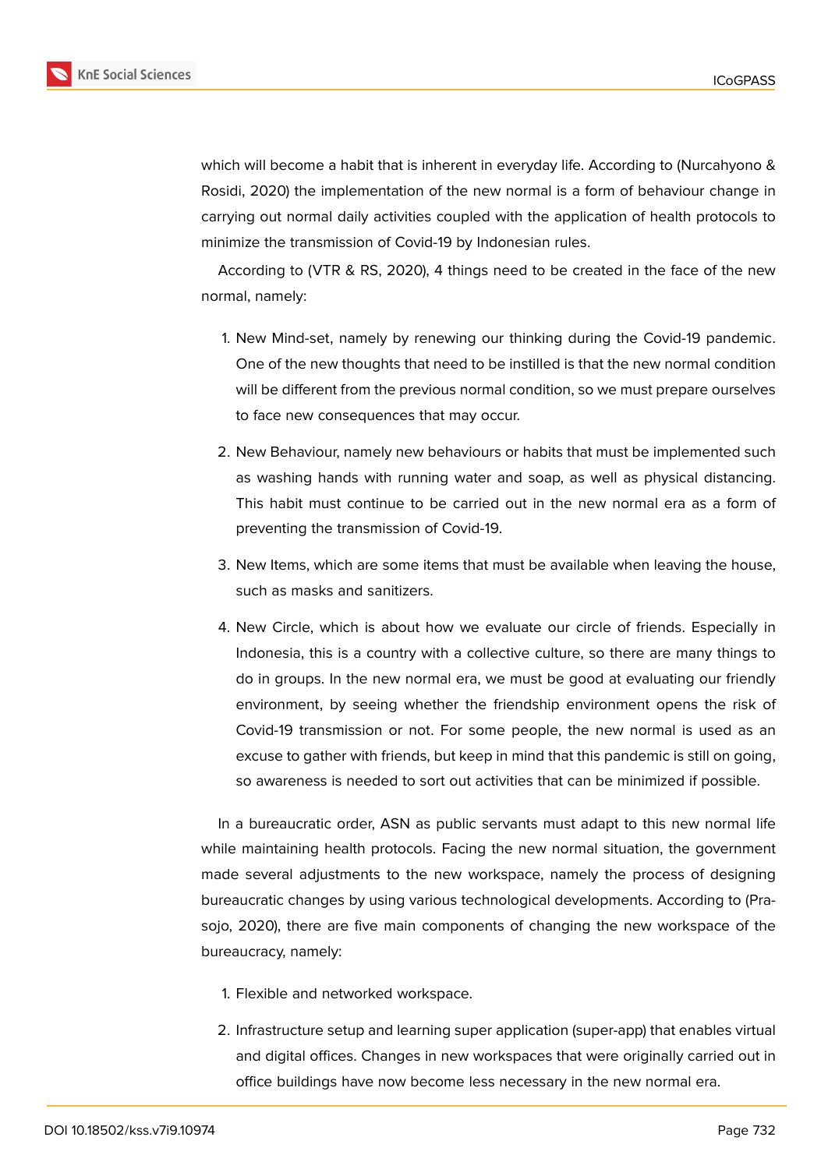

which will become a habit that is inherent in everyday life. According to (Nurcahyono & Rosidi, 2020) the implementation of the new normal is a form of behaviour change in carrying out normal daily activities coupled with the application of health protocols to minimize the transmission of Covid-19 by Indonesian rules.

According to (VTR & RS, 2020), 4 things need to be created in the face of the new normal, namely:

- 1. New Mind-set, namely by renewing our thinking during the Covid-19 pandemic. One of the new thoughts that need to be instilled is that the new normal condition will be different from the previous normal condition, so we must prepare ourselves to face new consequences that may occur.
- 2. New Behaviour, namely new behaviours or habits that must be implemented such as washing hands with running water and soap, as well as physical distancing. This habit must continue to be carried out in the new normal era as a form of preventing the transmission of Covid-19.
- 3. New Items, which are some items that must be available when leaving the house, such as masks and sanitizers.
- 4. New Circle, which is about how we evaluate our circle of friends. Especially in Indonesia, this is a country with a collective culture, so there are many things to do in groups. In the new normal era, we must be good at evaluating our friendly environment, by seeing whether the friendship environment opens the risk of Covid-19 transmission or not. For some people, the new normal is used as an excuse to gather with friends, but keep in mind that this pandemic is still on going, so awareness is needed to sort out activities that can be minimized if possible.

In a bureaucratic order, ASN as public servants must adapt to this new normal life while maintaining health protocols. Facing the new normal situation, the government made several adjustments to the new workspace, namely the process of designing bureaucratic changes by using various technological developments. According to (Prasojo, 2020), there are five main components of changing the new workspace of the bureaucracy, namely:

- 1. Flexible and networked workspace.
- 2. Infrastructure setup and learning super application (super-app) that enables virtual and digital offices. Changes in new workspaces that were originally carried out in office buildings have now become less necessary in the new normal era.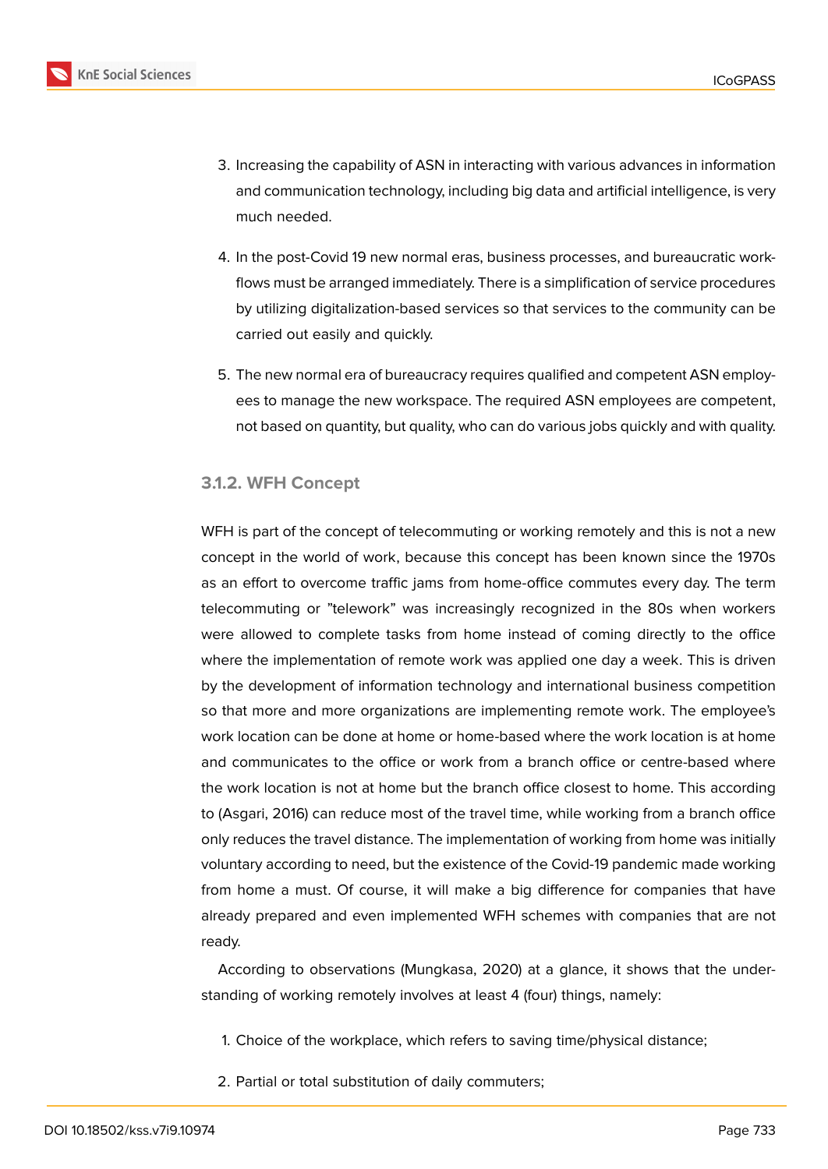- 3. Increasing the capability of ASN in interacting with various advances in information and communication technology, including big data and artificial intelligence, is very much needed.
- 4. In the post-Covid 19 new normal eras, business processes, and bureaucratic workflows must be arranged immediately. There is a simplification of service procedures by utilizing digitalization-based services so that services to the community can be carried out easily and quickly.
- 5. The new normal era of bureaucracy requires qualified and competent ASN employees to manage the new workspace. The required ASN employees are competent, not based on quantity, but quality, who can do various jobs quickly and with quality.

#### **3.1.2. WFH Concept**

WFH is part of the concept of telecommuting or working remotely and this is not a new concept in the world of work, because this concept has been known since the 1970s as an effort to overcome traffic jams from home-office commutes every day. The term telecommuting or "telework" was increasingly recognized in the 80s when workers were allowed to complete tasks from home instead of coming directly to the office where the implementation of remote work was applied one day a week. This is driven by the development of information technology and international business competition so that more and more organizations are implementing remote work. The employee's work location can be done at home or home-based where the work location is at home and communicates to the office or work from a branch office or centre-based where the work location is not at home but the branch office closest to home. This according to (Asgari, 2016) can reduce most of the travel time, while working from a branch office only reduces the travel distance. The implementation of working from home was initially voluntary according to need, but the existence of the Covid-19 pandemic made working from home a must. Of course, it will make a big difference for companies that have already prepared and even implemented WFH schemes with companies that are not ready.

According to observations (Mungkasa, 2020) at a glance, it shows that the understanding of working remotely involves at least 4 (four) things, namely:

- 1. Choice of the workplace, which refers to saving time/physical distance;
- 2. Partial or total substitution of daily commuters;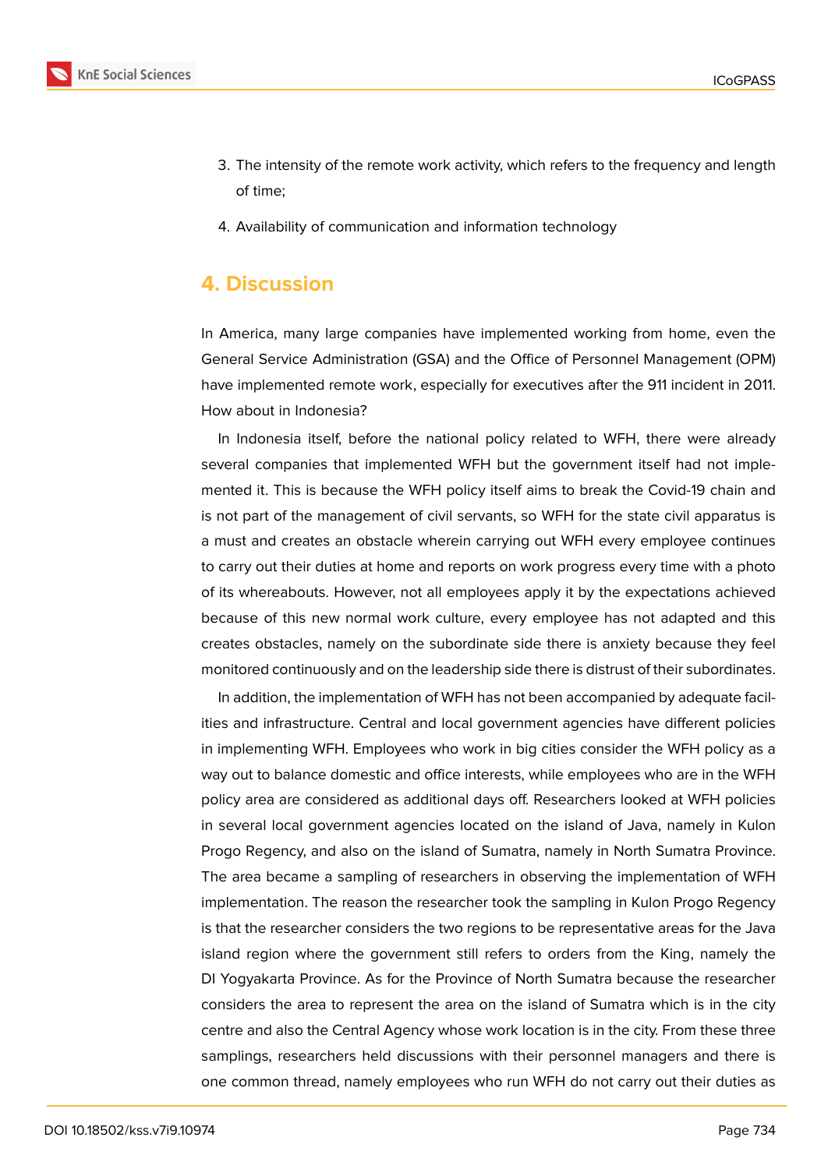

- 3. The intensity of the remote work activity, which refers to the frequency and length of time;
- 4. Availability of communication and information technology

### **4. Discussion**

In America, many large companies have implemented working from home, even the General Service Administration (GSA) and the Office of Personnel Management (OPM) have implemented remote work, especially for executives after the 911 incident in 2011. How about in Indonesia?

In Indonesia itself, before the national policy related to WFH, there were already several companies that implemented WFH but the government itself had not implemented it. This is because the WFH policy itself aims to break the Covid-19 chain and is not part of the management of civil servants, so WFH for the state civil apparatus is a must and creates an obstacle wherein carrying out WFH every employee continues to carry out their duties at home and reports on work progress every time with a photo of its whereabouts. However, not all employees apply it by the expectations achieved because of this new normal work culture, every employee has not adapted and this creates obstacles, namely on the subordinate side there is anxiety because they feel monitored continuously and on the leadership side there is distrust of their subordinates.

In addition, the implementation of WFH has not been accompanied by adequate facilities and infrastructure. Central and local government agencies have different policies in implementing WFH. Employees who work in big cities consider the WFH policy as a way out to balance domestic and office interests, while employees who are in the WFH policy area are considered as additional days off. Researchers looked at WFH policies in several local government agencies located on the island of Java, namely in Kulon Progo Regency, and also on the island of Sumatra, namely in North Sumatra Province. The area became a sampling of researchers in observing the implementation of WFH implementation. The reason the researcher took the sampling in Kulon Progo Regency is that the researcher considers the two regions to be representative areas for the Java island region where the government still refers to orders from the King, namely the DI Yogyakarta Province. As for the Province of North Sumatra because the researcher considers the area to represent the area on the island of Sumatra which is in the city centre and also the Central Agency whose work location is in the city. From these three samplings, researchers held discussions with their personnel managers and there is one common thread, namely employees who run WFH do not carry out their duties as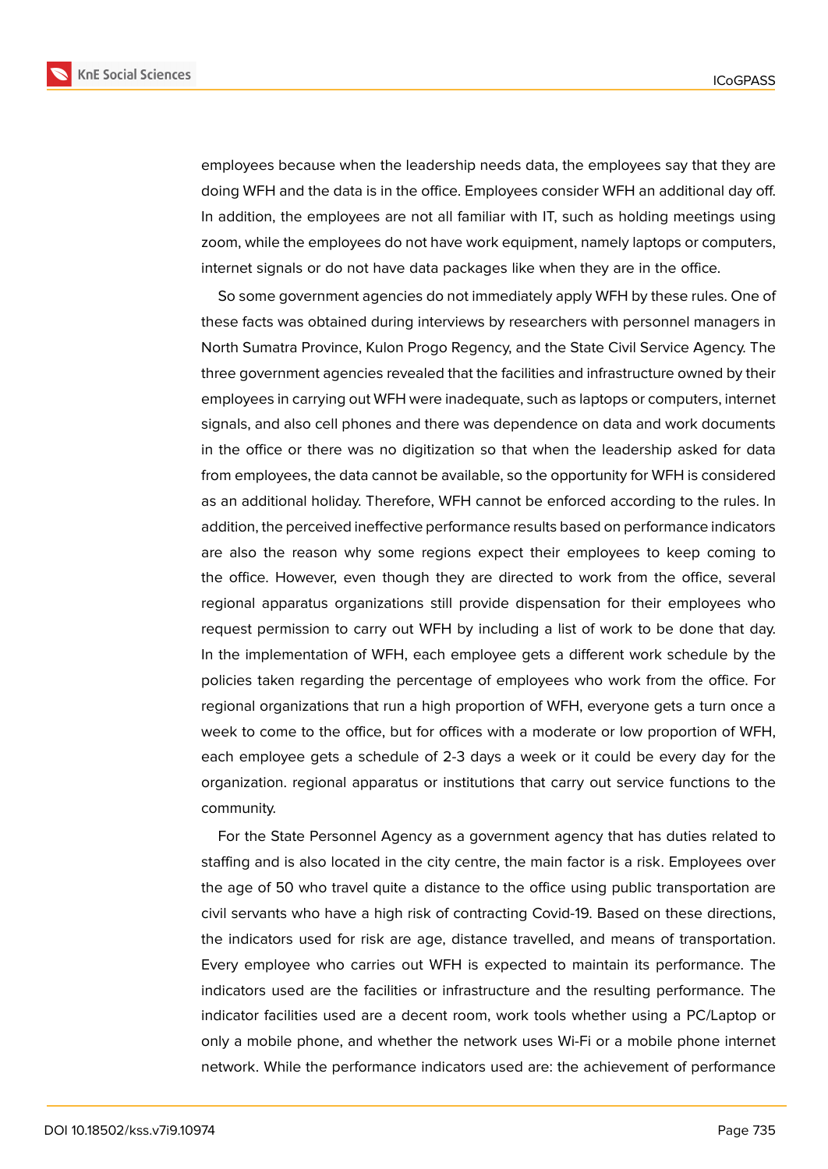

employees because when the leadership needs data, the employees say that they are doing WFH and the data is in the office. Employees consider WFH an additional day off. In addition, the employees are not all familiar with IT, such as holding meetings using zoom, while the employees do not have work equipment, namely laptops or computers, internet signals or do not have data packages like when they are in the office.

So some government agencies do not immediately apply WFH by these rules. One of these facts was obtained during interviews by researchers with personnel managers in North Sumatra Province, Kulon Progo Regency, and the State Civil Service Agency. The three government agencies revealed that the facilities and infrastructure owned by their employees in carrying out WFH were inadequate, such as laptops or computers, internet signals, and also cell phones and there was dependence on data and work documents in the office or there was no digitization so that when the leadership asked for data from employees, the data cannot be available, so the opportunity for WFH is considered as an additional holiday. Therefore, WFH cannot be enforced according to the rules. In addition, the perceived ineffective performance results based on performance indicators are also the reason why some regions expect their employees to keep coming to the office. However, even though they are directed to work from the office, several regional apparatus organizations still provide dispensation for their employees who request permission to carry out WFH by including a list of work to be done that day. In the implementation of WFH, each employee gets a different work schedule by the policies taken regarding the percentage of employees who work from the office. For regional organizations that run a high proportion of WFH, everyone gets a turn once a week to come to the office, but for offices with a moderate or low proportion of WFH, each employee gets a schedule of 2-3 days a week or it could be every day for the organization. regional apparatus or institutions that carry out service functions to the community.

For the State Personnel Agency as a government agency that has duties related to staffing and is also located in the city centre, the main factor is a risk. Employees over the age of 50 who travel quite a distance to the office using public transportation are civil servants who have a high risk of contracting Covid-19. Based on these directions, the indicators used for risk are age, distance travelled, and means of transportation. Every employee who carries out WFH is expected to maintain its performance. The indicators used are the facilities or infrastructure and the resulting performance. The indicator facilities used are a decent room, work tools whether using a PC/Laptop or only a mobile phone, and whether the network uses Wi-Fi or a mobile phone internet network. While the performance indicators used are: the achievement of performance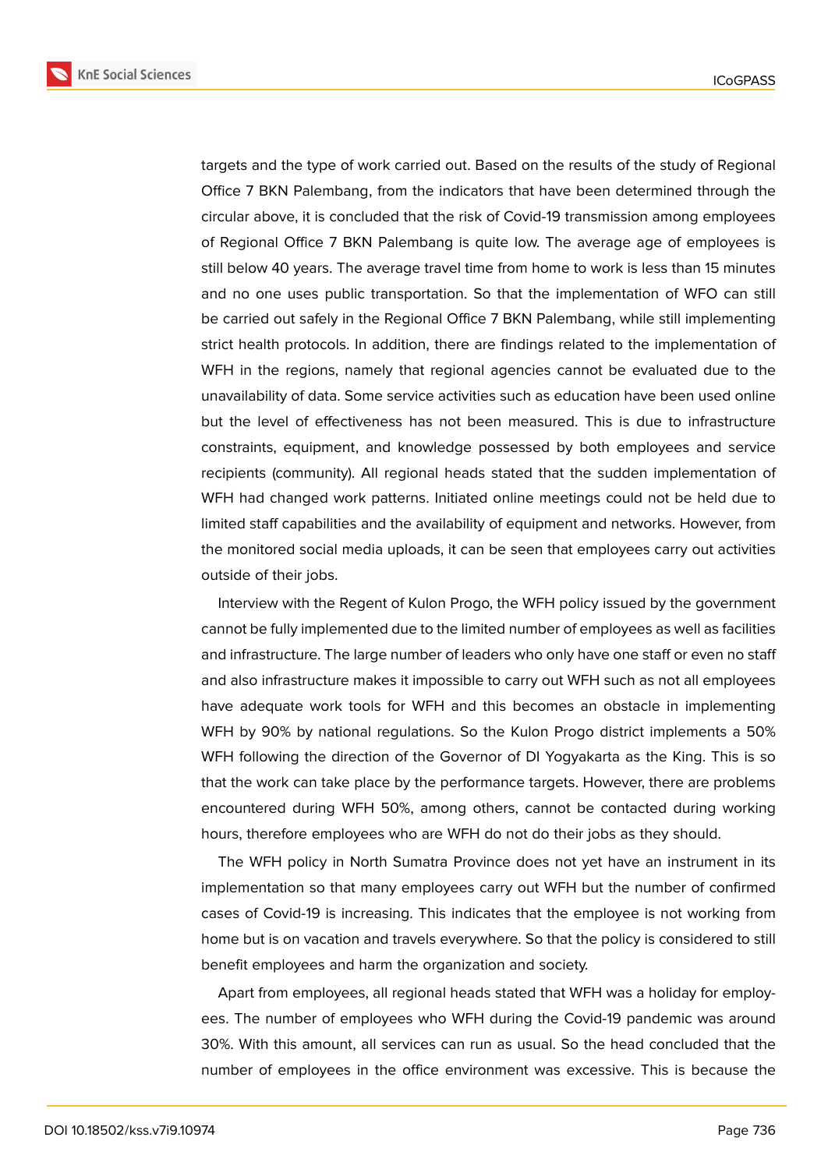

targets and the type of work carried out. Based on the results of the study of Regional Office 7 BKN Palembang, from the indicators that have been determined through the circular above, it is concluded that the risk of Covid-19 transmission among employees of Regional Office 7 BKN Palembang is quite low. The average age of employees is still below 40 years. The average travel time from home to work is less than 15 minutes and no one uses public transportation. So that the implementation of WFO can still be carried out safely in the Regional Office 7 BKN Palembang, while still implementing strict health protocols. In addition, there are findings related to the implementation of WFH in the regions, namely that regional agencies cannot be evaluated due to the unavailability of data. Some service activities such as education have been used online but the level of effectiveness has not been measured. This is due to infrastructure constraints, equipment, and knowledge possessed by both employees and service recipients (community). All regional heads stated that the sudden implementation of WFH had changed work patterns. Initiated online meetings could not be held due to limited staff capabilities and the availability of equipment and networks. However, from the monitored social media uploads, it can be seen that employees carry out activities outside of their jobs.

Interview with the Regent of Kulon Progo, the WFH policy issued by the government cannot be fully implemented due to the limited number of employees as well as facilities and infrastructure. The large number of leaders who only have one staff or even no staff and also infrastructure makes it impossible to carry out WFH such as not all employees have adequate work tools for WFH and this becomes an obstacle in implementing WFH by 90% by national regulations. So the Kulon Progo district implements a 50% WFH following the direction of the Governor of DI Yogyakarta as the King. This is so that the work can take place by the performance targets. However, there are problems encountered during WFH 50%, among others, cannot be contacted during working hours, therefore employees who are WFH do not do their jobs as they should.

The WFH policy in North Sumatra Province does not yet have an instrument in its implementation so that many employees carry out WFH but the number of confirmed cases of Covid-19 is increasing. This indicates that the employee is not working from home but is on vacation and travels everywhere. So that the policy is considered to still benefit employees and harm the organization and society.

Apart from employees, all regional heads stated that WFH was a holiday for employees. The number of employees who WFH during the Covid-19 pandemic was around 30%. With this amount, all services can run as usual. So the head concluded that the number of employees in the office environment was excessive. This is because the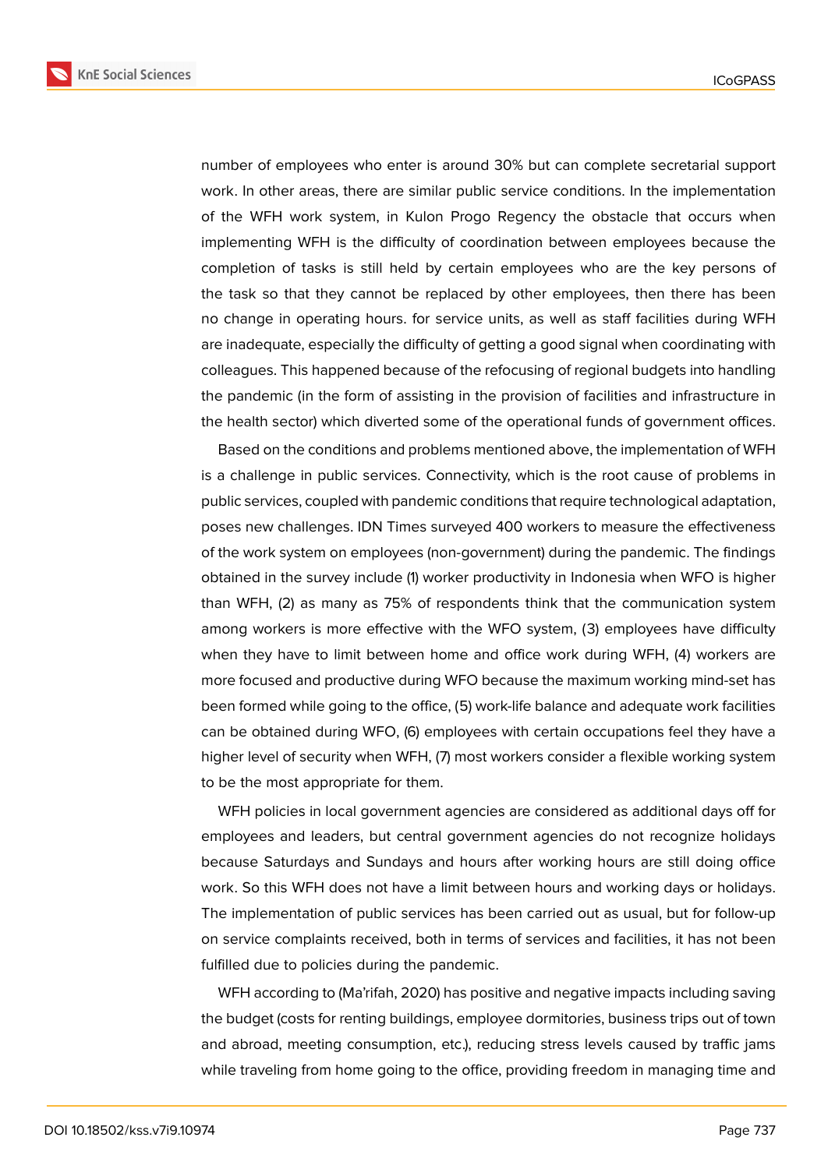

number of employees who enter is around 30% but can complete secretarial support work. In other areas, there are similar public service conditions. In the implementation of the WFH work system, in Kulon Progo Regency the obstacle that occurs when implementing WFH is the difficulty of coordination between employees because the completion of tasks is still held by certain employees who are the key persons of the task so that they cannot be replaced by other employees, then there has been no change in operating hours. for service units, as well as staff facilities during WFH are inadequate, especially the difficulty of getting a good signal when coordinating with colleagues. This happened because of the refocusing of regional budgets into handling the pandemic (in the form of assisting in the provision of facilities and infrastructure in the health sector) which diverted some of the operational funds of government offices.

Based on the conditions and problems mentioned above, the implementation of WFH is a challenge in public services. Connectivity, which is the root cause of problems in public services, coupled with pandemic conditions that require technological adaptation, poses new challenges. IDN Times surveyed 400 workers to measure the effectiveness of the work system on employees (non-government) during the pandemic. The findings obtained in the survey include (1) worker productivity in Indonesia when WFO is higher than WFH, (2) as many as 75% of respondents think that the communication system among workers is more effective with the WFO system, (3) employees have difficulty when they have to limit between home and office work during WFH, (4) workers are more focused and productive during WFO because the maximum working mind-set has been formed while going to the office, (5) work-life balance and adequate work facilities can be obtained during WFO, (6) employees with certain occupations feel they have a higher level of security when WFH, (7) most workers consider a flexible working system to be the most appropriate for them.

WFH policies in local government agencies are considered as additional days off for employees and leaders, but central government agencies do not recognize holidays because Saturdays and Sundays and hours after working hours are still doing office work. So this WFH does not have a limit between hours and working days or holidays. The implementation of public services has been carried out as usual, but for follow-up on service complaints received, both in terms of services and facilities, it has not been fulfilled due to policies during the pandemic.

WFH according to (Ma'rifah, 2020) has positive and negative impacts including saving the budget (costs for renting buildings, employee dormitories, business trips out of town and abroad, meeting consumption, etc.), reducing stress levels caused by traffic jams while traveling from home going to the office, providing freedom in managing time and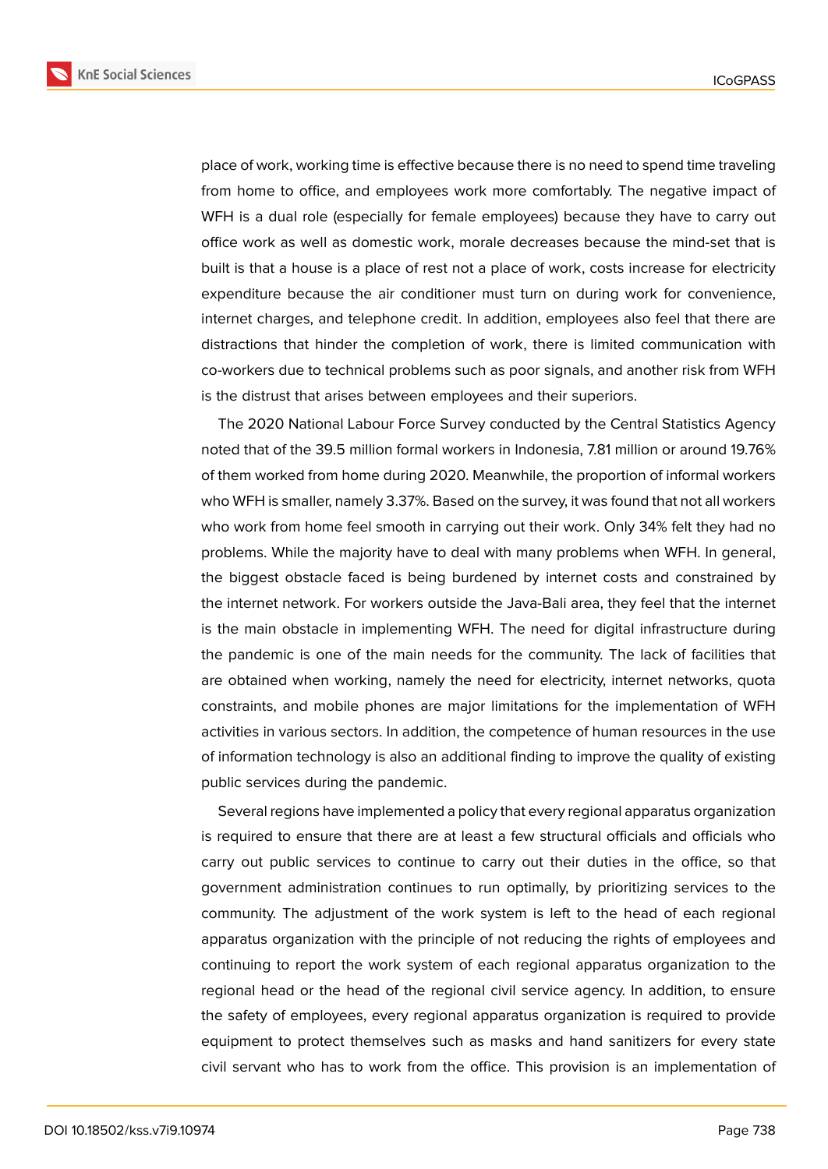

place of work, working time is effective because there is no need to spend time traveling from home to office, and employees work more comfortably. The negative impact of WFH is a dual role (especially for female employees) because they have to carry out office work as well as domestic work, morale decreases because the mind-set that is built is that a house is a place of rest not a place of work, costs increase for electricity expenditure because the air conditioner must turn on during work for convenience, internet charges, and telephone credit. In addition, employees also feel that there are distractions that hinder the completion of work, there is limited communication with co-workers due to technical problems such as poor signals, and another risk from WFH is the distrust that arises between employees and their superiors.

The 2020 National Labour Force Survey conducted by the Central Statistics Agency noted that of the 39.5 million formal workers in Indonesia, 7.81 million or around 19.76% of them worked from home during 2020. Meanwhile, the proportion of informal workers who WFH is smaller, namely 3.37%. Based on the survey, it was found that not all workers who work from home feel smooth in carrying out their work. Only 34% felt they had no problems. While the majority have to deal with many problems when WFH. In general, the biggest obstacle faced is being burdened by internet costs and constrained by the internet network. For workers outside the Java-Bali area, they feel that the internet is the main obstacle in implementing WFH. The need for digital infrastructure during the pandemic is one of the main needs for the community. The lack of facilities that are obtained when working, namely the need for electricity, internet networks, quota constraints, and mobile phones are major limitations for the implementation of WFH activities in various sectors. In addition, the competence of human resources in the use of information technology is also an additional finding to improve the quality of existing public services during the pandemic.

Several regions have implemented a policy that every regional apparatus organization is required to ensure that there are at least a few structural officials and officials who carry out public services to continue to carry out their duties in the office, so that government administration continues to run optimally, by prioritizing services to the community. The adjustment of the work system is left to the head of each regional apparatus organization with the principle of not reducing the rights of employees and continuing to report the work system of each regional apparatus organization to the regional head or the head of the regional civil service agency. In addition, to ensure the safety of employees, every regional apparatus organization is required to provide equipment to protect themselves such as masks and hand sanitizers for every state civil servant who has to work from the office. This provision is an implementation of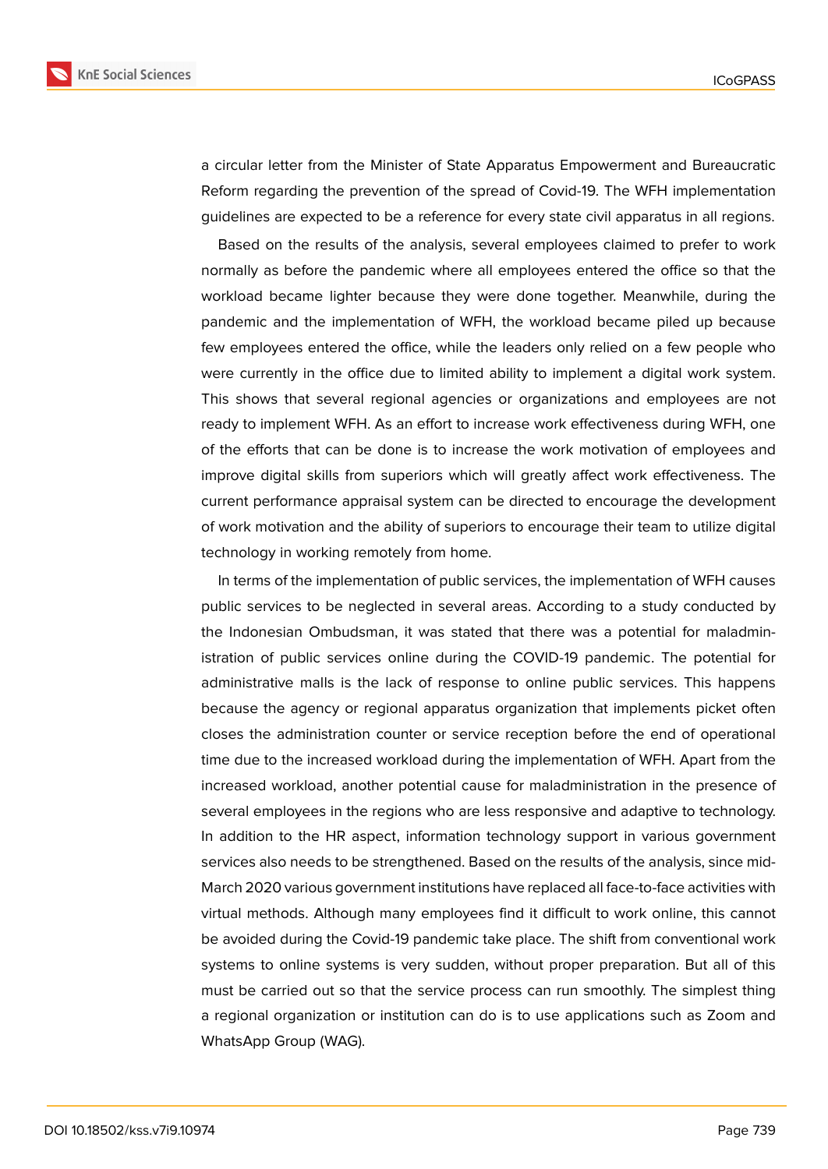

a circular letter from the Minister of State Apparatus Empowerment and Bureaucratic Reform regarding the prevention of the spread of Covid-19. The WFH implementation guidelines are expected to be a reference for every state civil apparatus in all regions.

Based on the results of the analysis, several employees claimed to prefer to work normally as before the pandemic where all employees entered the office so that the workload became lighter because they were done together. Meanwhile, during the pandemic and the implementation of WFH, the workload became piled up because few employees entered the office, while the leaders only relied on a few people who were currently in the office due to limited ability to implement a digital work system. This shows that several regional agencies or organizations and employees are not ready to implement WFH. As an effort to increase work effectiveness during WFH, one of the efforts that can be done is to increase the work motivation of employees and improve digital skills from superiors which will greatly affect work effectiveness. The current performance appraisal system can be directed to encourage the development of work motivation and the ability of superiors to encourage their team to utilize digital technology in working remotely from home.

In terms of the implementation of public services, the implementation of WFH causes public services to be neglected in several areas. According to a study conducted by the Indonesian Ombudsman, it was stated that there was a potential for maladministration of public services online during the COVID-19 pandemic. The potential for administrative malls is the lack of response to online public services. This happens because the agency or regional apparatus organization that implements picket often closes the administration counter or service reception before the end of operational time due to the increased workload during the implementation of WFH. Apart from the increased workload, another potential cause for maladministration in the presence of several employees in the regions who are less responsive and adaptive to technology. In addition to the HR aspect, information technology support in various government services also needs to be strengthened. Based on the results of the analysis, since mid-March 2020 various government institutions have replaced all face-to-face activities with virtual methods. Although many employees find it difficult to work online, this cannot be avoided during the Covid-19 pandemic take place. The shift from conventional work systems to online systems is very sudden, without proper preparation. But all of this must be carried out so that the service process can run smoothly. The simplest thing a regional organization or institution can do is to use applications such as Zoom and WhatsApp Group (WAG).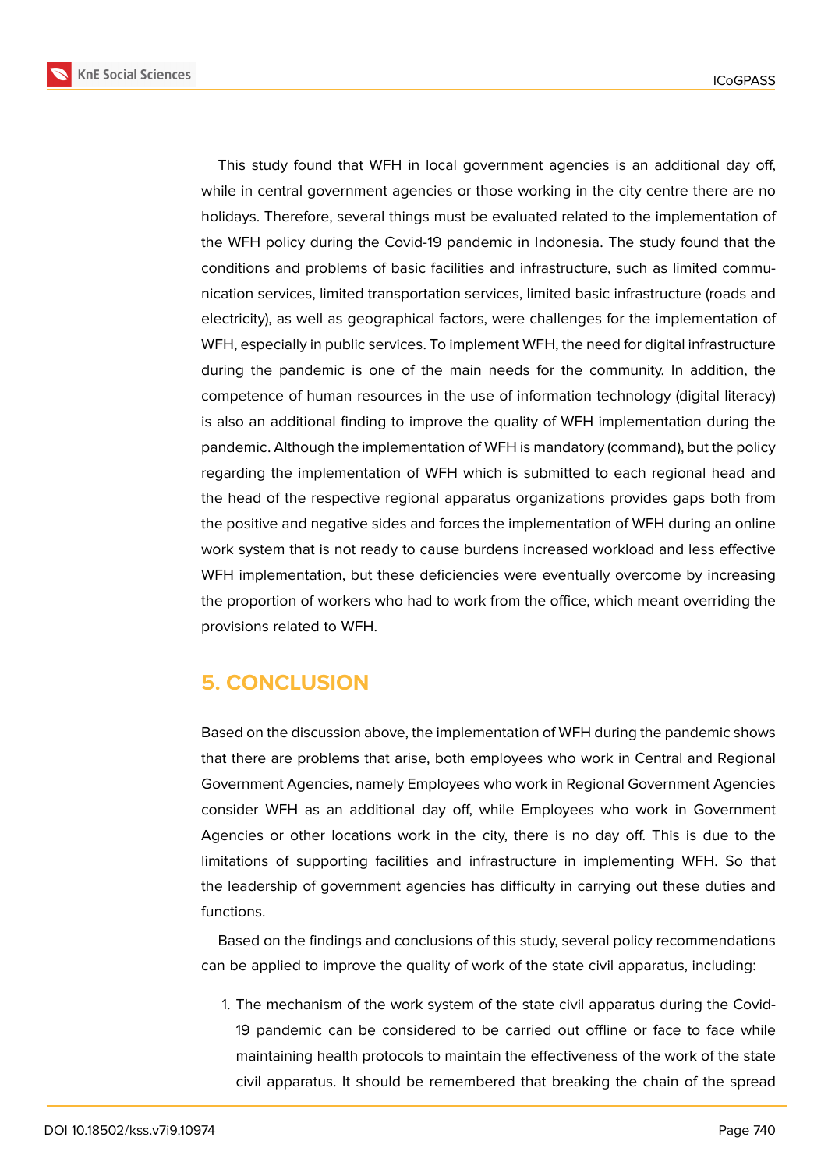

This study found that WFH in local government agencies is an additional day off, while in central government agencies or those working in the city centre there are no holidays. Therefore, several things must be evaluated related to the implementation of the WFH policy during the Covid-19 pandemic in Indonesia. The study found that the conditions and problems of basic facilities and infrastructure, such as limited communication services, limited transportation services, limited basic infrastructure (roads and electricity), as well as geographical factors, were challenges for the implementation of WFH, especially in public services. To implement WFH, the need for digital infrastructure during the pandemic is one of the main needs for the community. In addition, the competence of human resources in the use of information technology (digital literacy) is also an additional finding to improve the quality of WFH implementation during the pandemic. Although the implementation of WFH is mandatory (command), but the policy regarding the implementation of WFH which is submitted to each regional head and the head of the respective regional apparatus organizations provides gaps both from the positive and negative sides and forces the implementation of WFH during an online work system that is not ready to cause burdens increased workload and less effective WFH implementation, but these deficiencies were eventually overcome by increasing the proportion of workers who had to work from the office, which meant overriding the provisions related to WFH.

## **5. CONCLUSION**

Based on the discussion above, the implementation of WFH during the pandemic shows that there are problems that arise, both employees who work in Central and Regional Government Agencies, namely Employees who work in Regional Government Agencies consider WFH as an additional day off, while Employees who work in Government Agencies or other locations work in the city, there is no day off. This is due to the limitations of supporting facilities and infrastructure in implementing WFH. So that the leadership of government agencies has difficulty in carrying out these duties and functions.

Based on the findings and conclusions of this study, several policy recommendations can be applied to improve the quality of work of the state civil apparatus, including:

1. The mechanism of the work system of the state civil apparatus during the Covid-19 pandemic can be considered to be carried out offline or face to face while maintaining health protocols to maintain the effectiveness of the work of the state civil apparatus. It should be remembered that breaking the chain of the spread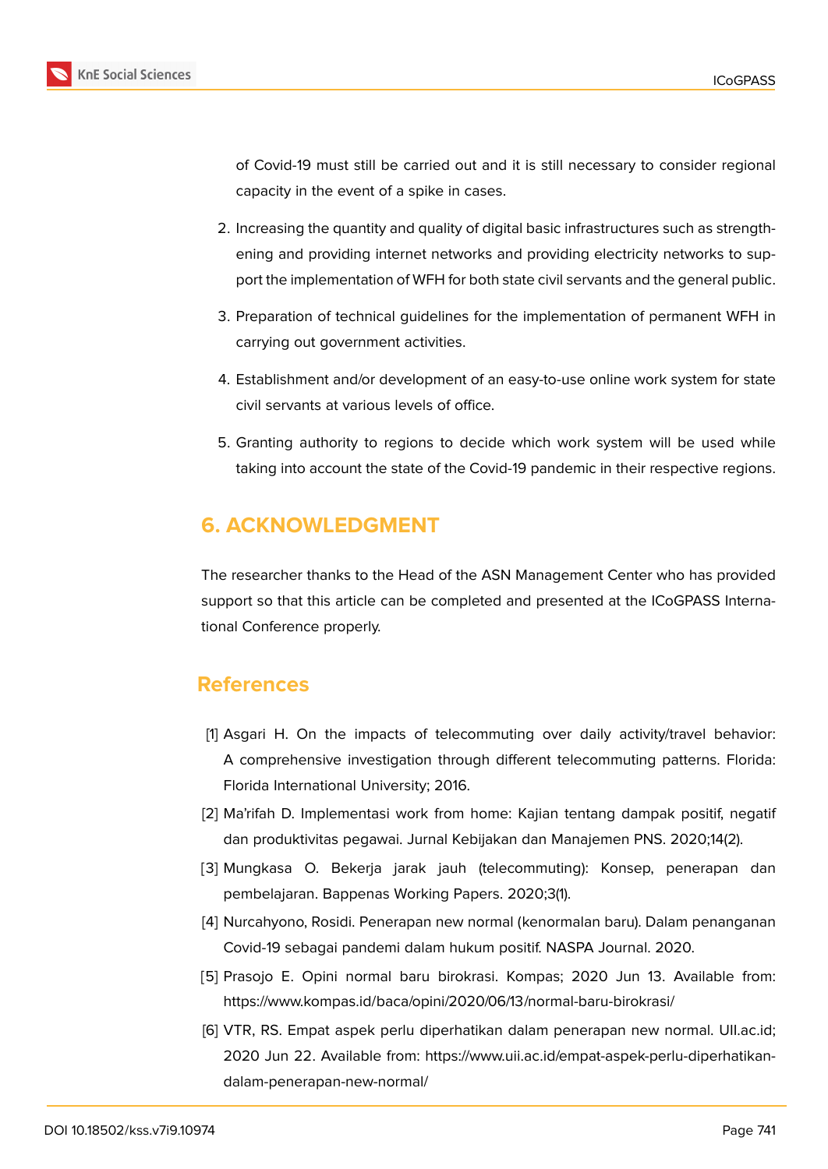

of Covid-19 must still be carried out and it is still necessary to consider regional capacity in the event of a spike in cases.

- 2. Increasing the quantity and quality of digital basic infrastructures such as strengthening and providing internet networks and providing electricity networks to support the implementation of WFH for both state civil servants and the general public.
- 3. Preparation of technical guidelines for the implementation of permanent WFH in carrying out government activities.
- 4. Establishment and/or development of an easy-to-use online work system for state civil servants at various levels of office.
- 5. Granting authority to regions to decide which work system will be used while taking into account the state of the Covid-19 pandemic in their respective regions.

## **6. ACKNOWLEDGMENT**

The researcher thanks to the Head of the ASN Management Center who has provided support so that this article can be completed and presented at the ICoGPASS International Conference properly.

## **References**

- [1] Asgari H. On the impacts of telecommuting over daily activity/travel behavior: A comprehensive investigation through different telecommuting patterns. Florida: Florida International University; 2016.
- [2] Ma'rifah D. Implementasi work from home: Kajian tentang dampak positif, negatif dan produktivitas pegawai. Jurnal Kebijakan dan Manajemen PNS. 2020;14(2).
- [3] Mungkasa O. Bekerja jarak jauh (telecommuting): Konsep, penerapan dan pembelajaran. Bappenas Working Papers. 2020;3(1).
- [4] Nurcahyono, Rosidi. Penerapan new normal (kenormalan baru). Dalam penanganan Covid-19 sebagai pandemi dalam hukum positif. NASPA Journal. 2020.
- [5] Prasojo E. Opini normal baru birokrasi. Kompas; 2020 Jun 13. Available from: https://www.kompas.id/baca/opini/2020/06/13/normal-baru-birokrasi/
- [6] VTR, RS. Empat aspek perlu diperhatikan dalam penerapan new normal. UII.ac.id; 2020 Jun 22. Available from: https://www.uii.ac.id/empat-aspek-perlu-diperhatikandalam-penerapan-new-normal/